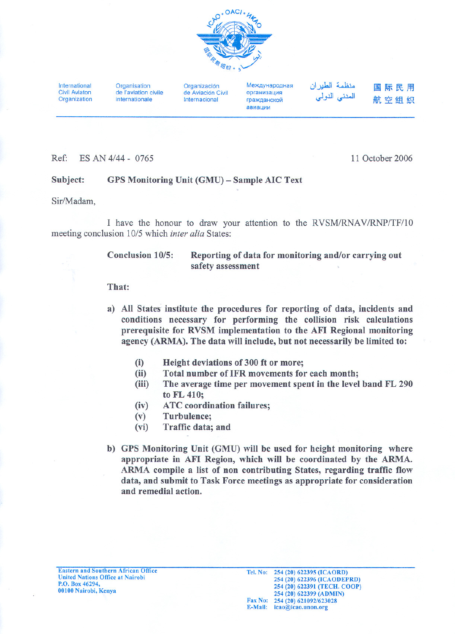

International Civil Aviaton **Organization**  **Organisation** de I'aviation civile internationale

Organización de Aviación Civil Internacional

Mexnyuanoguag Организация гражданской авиации

منظمة الطير ان المدني الدولي 国际民用 航空组织

## Ref: ES AN 4/44 - 0765 11 October 2006

## Subject: GPS Monitoring Unit (GMU) - Sample AIC Text

Sir/Madam,

I have the honour to draw your attention to the RVSM/RNAV/RNP/TF/10 meeting conclusion 10/5which *inter alia* States:

| <b>Conclusion 10/5:</b> | Reporting of data for monitoring and/or carrying out |
|-------------------------|------------------------------------------------------|
|                         | safety assessment                                    |

## That:

- a) All States institute the procedures for reporting of data, incidents and conditions necessary for performing the collision risk calculations prerequisite for RVSM implementation to the AFI Regional monitoring agency (ARMA). The data will include, but not necessarily be limited to:
	- (i) Height deviations of 300 ft or more;
	- (ii) Total number of IFR movements for each month;
	- $(iii)$ The average time per movement spent in the level band FL 290 to FL 410;
	- ATC coordination failures; (iv)
	- Turbulence; (v)
	- Traffic data; and (vi)
- b) GPS Monitoring Unit (GMU) will be used for height monitoring where appropriate in AFI Region, which will be coordinated by the ARMA. ARMA compile a list of non contributing States, regarding traffic flow data, and submit to Task Force meetings as appropriate for consideration and remedial action.